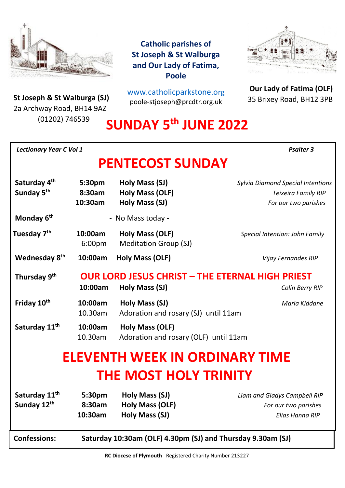

**St Joseph & St Walburga (SJ)**<br>23 Archway Road, BH14 9A7 2a Archway Road, BH14 9AZ (01202) 746539

**Catholic parishes of St Joseph & St Walburga and Our Lady of Fatima, Poole**

[www.catholicparkstone.o](http://www.catholicparkstone.org/)[rg](http://www.catholicparkstone.org/) poole-stjoseph@prcdtr.org.uk



**Our Lady of Fatima (OLF)** 35 Brixey Road, BH12 3PB

# **SUNDAY 5 th JUNE 2022**

| <b>Lectionary Year C Vol 1</b>                     |                               | <b>Psalter 3</b>                                                         |                                                                                         |
|----------------------------------------------------|-------------------------------|--------------------------------------------------------------------------|-----------------------------------------------------------------------------------------|
|                                                    |                               | <b>PENTECOST SUNDAY</b>                                                  |                                                                                         |
| Saturday 4 <sup>th</sup><br>Sunday 5 <sup>th</sup> | 5:30pm<br>8:30am<br>10:30am   | Holy Mass (SJ)<br>Holy Mass (OLF)<br>Holy Mass (SJ)                      | <b>Sylvia Diamond Special Intentions</b><br>Teixeira Family RIP<br>For our two parishes |
| Monday 6 <sup>th</sup>                             |                               | - No Mass today -                                                        |                                                                                         |
| Tuesday 7 <sup>th</sup>                            | 10:00am<br>6:00 <sub>pm</sub> | <b>Holy Mass (OLF)</b><br><b>Meditation Group (SJ)</b>                   | Special Intention: John Family                                                          |
| Wednesday 8 <sup>th</sup>                          | 10:00am                       | Holy Mass (OLF)                                                          | Vijay Fernandes RIP                                                                     |
| Thursday 9th                                       | 10:00am                       | <b>OUR LORD JESUS CHRIST - THE ETERNAL HIGH PRIEST</b><br>Holy Mass (SJ) | Colin Berry RIP                                                                         |
| Friday 10 <sup>th</sup>                            | 10:00am<br>10.30am            | <b>Holy Mass (SJ)</b><br>Adoration and rosary (SJ) until 11am            | Maria Kiddane                                                                           |
| Saturday 11 <sup>th</sup>                          | 10:00am<br>10.30am            | Holy Mass (OLF)<br>Adoration and rosary (OLF) until 11am                 |                                                                                         |
|                                                    |                               | ELEVENTH WEEK IN ORDINARY TIME                                           |                                                                                         |
|                                                    |                               | <b>THE MOST HOLY TRINITY</b>                                             |                                                                                         |
| Saturday 11 <sup>th</sup><br>Sunday 12th           | 5:30pm<br>8:30am<br>10:30am   | Holy Mass (SJ)<br>Holy Mass (OLF)<br>Holy Mass (SJ)                      | Liam and Gladys Campbell RIP<br>For our two parishes<br>Elias Hanna RIP                 |
| <b>Confessions:</b>                                |                               | Saturday 10:30am (OLF) 4.30pm (SJ) and Thursday 9.30am (SJ)              |                                                                                         |